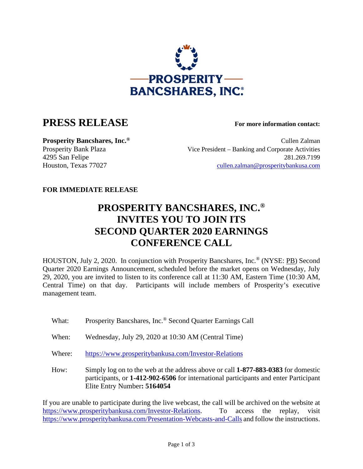

## **PRESS RELEASE For more information contact:**

**Prosperity Bancshares, Inc.<sup>®</sup> Cullen Zalman** Prosperity Bank Plaza Vice President – Banking and Corporate Activities 4295 San Felipe 281.269.7199 Houston, Texas 77027 [cullen.zalman@prosperitybankusa.com](mailto:cullen.zalman@prosperitybankusa.com)

## **FOR IMMEDIATE RELEASE**

## **PROSPERITY BANCSHARES, INC.® INVITES YOU TO JOIN ITS SECOND QUARTER 2020 EARNINGS CONFERENCE CALL**

HOUSTON, July 2, 2020. In conjunction with Prosperity Bancshares, Inc.® (NYSE: PB) Second Quarter 2020 Earnings Announcement, scheduled before the market opens on Wednesday, July 29, 2020, you are invited to listen to its conference call at 11:30 AM, Eastern Time (10:30 AM, Central Time) on that day. Participants will include members of Prosperity's executive management team.

- What: Prosperity Bancshares, Inc.® Second Quarter Earnings Call
- When: Wednesday, July 29, 2020 at 10:30 AM (Central Time)
- Where: <https://www.prosperitybankusa.com/Investor-Relations>
- How: Simply log on to the web at the address above or call **1-877-883-0383** for domestic participants, or **1-412-902-6506** for international participants and enter Participant Elite Entry Number**: 5164054**

If you are unable to participate during the live webcast, the call will be archived on the website at [https://www.prosperitybankusa.com/Investor-Relations.](https://www.prosperitybankusa.com/Investor-Relations) To access the replay, visit <https://www.prosperitybankusa.com/Presentation-Webcasts-and-Calls> and follow the instructions.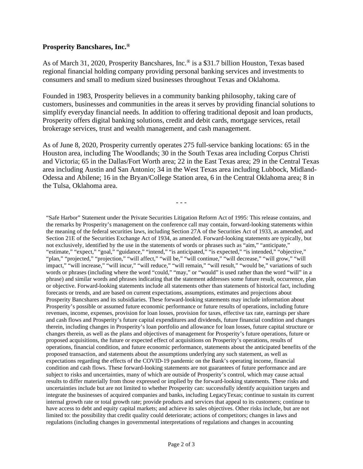## **Prosperity Bancshares, Inc.®**

As of March 31, 2020, Prosperity Bancshares, Inc.<sup>®</sup> is a \$31.7 billion Houston, Texas based regional financial holding company providing personal banking services and investments to consumers and small to medium sized businesses throughout Texas and Oklahoma.

Founded in 1983, Prosperity believes in a community banking philosophy, taking care of customers, businesses and communities in the areas it serves by providing financial solutions to simplify everyday financial needs. In addition to offering traditional deposit and loan products, Prosperity offers digital banking solutions, credit and debit cards, mortgage services, retail brokerage services, trust and wealth management, and cash management.

As of June 8, 2020, Prosperity currently operates 275 full-service banking locations: 65 in the Houston area, including The Woodlands; 30 in the South Texas area including Corpus Christi and Victoria; 65 in the Dallas/Fort Worth area; 22 in the East Texas area; 29 in the Central Texas area including Austin and San Antonio; 34 in the West Texas area including Lubbock, Midland-Odessa and Abilene; 16 in the Bryan/College Station area, 6 in the Central Oklahoma area; 8 in the Tulsa, Oklahoma area.

- - -

"Safe Harbor" Statement under the Private Securities Litigation Reform Act of 1995: This release contains, and the remarks by Prosperity's management on the conference call may contain, forward-looking statements within the meaning of the federal securities laws, including Section 27A of the Securities Act of 1933, as amended, and Section 21E of the Securities Exchange Act of 1934, as amended. Forward-looking statements are typically, but not exclusively, identified by the use in the statements of words or phrases such as "aim," "anticipate," "estimate," "expect," "goal," "guidance," "intend," "is anticipated," "is expected," "is intended," "objective," "plan," "projected," "projection," "will affect," "will be," "will continue," "will decrease," "will grow," "will impact," "will increase," "will incur," "will reduce," "will remain," "will result," "would be," variations of such words or phrases (including where the word "could," "may," or "would" is used rather than the word "will" in a phrase) and similar words and phrases indicating that the statement addresses some future result, occurrence, plan or objective. Forward-looking statements include all statements other than statements of historical fact, including forecasts or trends, and are based on current expectations, assumptions, estimates and projections about Prosperity Bancshares and its subsidiaries. These forward-looking statements may include information about Prosperity's possible or assumed future economic performance or future results of operations, including future revenues, income, expenses, provision for loan losses, provision for taxes, effective tax rate, earnings per share and cash flows and Prosperity's future capital expenditures and dividends, future financial condition and changes therein, including changes in Prosperity's loan portfolio and allowance for loan losses, future capital structure or changes therein, as well as the plans and objectives of management for Prosperity's future operations, future or proposed acquisitions, the future or expected effect of acquisitions on Prosperity's operations, results of operations, financial condition, and future economic performance, statements about the anticipated benefits of the proposed transaction, and statements about the assumptions underlying any such statement, as well as expectations regarding the effects of the COVID-19 pandemic on the Bank's operating income, financial condition and cash flows. These forward-looking statements are not guarantees of future performance and are subject to risks and uncertainties, many of which are outside of Prosperity's control, which may cause actual results to differ materially from those expressed or implied by the forward-looking statements. These risks and uncertainties include but are not limited to whether Prosperity can: successfully identify acquisition targets and integrate the businesses of acquired companies and banks, including LegacyTexas; continue to sustain its current internal growth rate or total growth rate; provide products and services that appeal to its customers; continue to have access to debt and equity capital markets; and achieve its sales objectives. Other risks include, but are not limited to: the possibility that credit quality could deteriorate; actions of competitors; changes in laws and regulations (including changes in governmental interpretations of regulations and changes in accounting